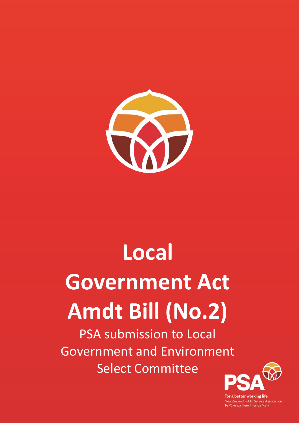

# **Local Government Act Amdt Bill (No.2)**

PSA submission to Local Government and Environment Select Committee



For a better working life New Zealand Public Service Association<br>Te Pūkenga Here Tikanga Mahi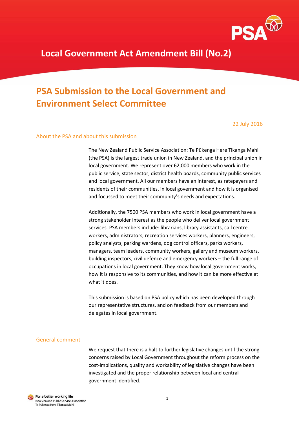

# **PSA Submission to the Local Government and Environment Select Committee**

22 July 2016

# About the PSA and about this submission

The New Zealand Public Service Association: Te Pūkenga Here Tikanga Mahi (the PSA) is the largest trade union in New Zealand, and the principal union in local government. We represent over 62,000 members who work in the public service, state sector, district health boards, community public services and local government. All our members have an interest, as ratepayers and residents of their communities, in local government and how it is organised and focussed to meet their community's needs and expectations.

Additionally, the 7500 PSA members who work in local government have a strong stakeholder interest as the people who deliver local government services. PSA members include: librarians, library assistants, call centre workers, administrators, recreation services workers, planners, engineers, policy analysts, parking wardens, dog control officers, parks workers, managers, team leaders, community workers, gallery and museum workers, building inspectors, civil defence and emergency workers – the full range of occupations in local government. They know how local government works, how it is responsive to its communities, and how it can be more effective at what it does.

This submission is based on PSA policy which has been developed through our representative structures, and on feedback from our members and delegates in local government.

#### General comment

We request that there is a halt to further legislative changes until the strong concerns raised by Local Government throughout the reform process on the cost-implications, quality and workability of legislative changes have been investigated and the proper relationship between local and central government identified.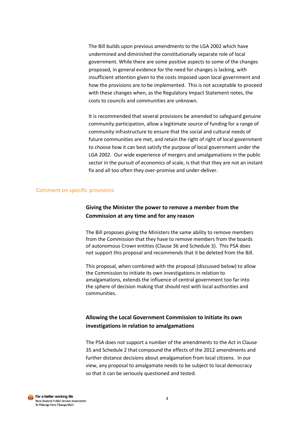The Bill builds upon previous amendments to the LGA 2002 which have undermined and diminished the constitutionally separate role of local government. While there are some positive aspects to some of the changes proposed, in general evidence for the need for changes is lacking, with insufficient attention given to the costs imposed upon local government and how the provisions are to be implemented. This is not acceptable to proceed with these changes when, as the Regulatory Impact Statement notes, the costs to councils and communities are unknown.

It is recommended that several provisions be amended to safeguard genuine community participation, allow a legitimate source of funding for a range of community infrastructure to ensure that the social and cultural needs of future communities are met, and retain the right of right of local government to choose how it can best satisfy the purpose of local government under the LGA 2002. Our wide experience of mergers and amalgamations in the public sector in the pursuit of economics of scale, is that that they are not an instant fix and all too often they over-promise and under-deliver.

# Comment on specific provisions

# **Giving the Minister the power to remove a member from the Commission at any time and for any reason**

The Bill proposes giving the Ministers the same ability to remove members from the Commission that they have to remove members from the boards of autonomous Crown entities (Clause 36 and Schedule 3). This PSA does not support this proposal and recommends that it be deleted from the Bill.

This proposal, when combined with the proposal (discussed below) to allow the Commission to initiate its own investigations in relation to amalgamations, extends the influence of central government too far into the sphere of decision making that should rest with local authorities and communities.

# **Allowing the Local Government Commission to initiate its own investigations in relation to amalgamations**

The PSA does not support a number of the amendments to the Act in Clause 35 and Schedule 2 that compound the effects of the 2012 amendments and further distance decisions about amalgamation from local citizens. In our view, any proposal to amalgamate needs to be subject to local democracy so that it can be seriously questioned and tested.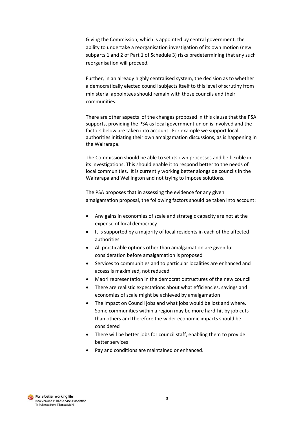Giving the Commission, which is appointed by central government, the ability to undertake a reorganisation investigation of its own motion (new subparts 1 and 2 of Part 1 of Schedule 3) risks predetermining that any such reorganisation will proceed.

Further, in an already highly centralised system, the decision as to whether a democratically elected council subjects itself to this level of scrutiny from ministerial appointees should remain with those councils and their communities.

There are other aspects of the changes proposed in this clause that the PSA supports, providing the PSA as local government union is involved and the factors below are taken into account. For example we support local authorities initiating their own amalgamation discussions, as is happening in the Wairarapa.

The Commission should be able to set its own processes and be flexible in its investigations. This should enable it to respond better to the needs of local communities. It is currently working better alongside councils in the Wairarapa and Wellington and not trying to impose solutions.

The PSA proposes that in assessing the evidence for any given amalgamation proposal, the following factors should be taken into account:

- Any gains in economies of scale and strategic capacity are not at the expense of local democracy
- It is supported by a majority of local residents in each of the affected authorities
- All practicable options other than amalgamation are given full consideration before amalgamation is proposed
- Services to communities and to particular localities are enhanced and access is maximised, not reduced
- Maori representation in the democratic structures of the new council
- There are realistic expectations about what efficiencies, savings and economies of scale might be achieved by amalgamation
- The impact on Council jobs and what jobs would be lost and where. Some communities within a region may be more hard-hit by job cuts than others and therefore the wider economic impacts should be considered
- There will be better jobs for council staff, enabling them to provide better services
- Pay and conditions are maintained or enhanced.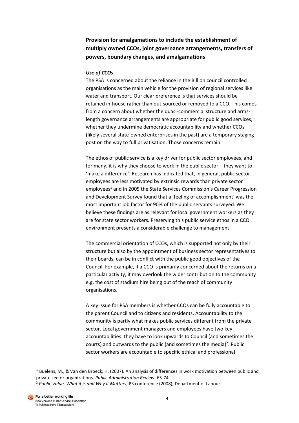**Provision for amalgamations to include the establishment of multiply owned CCOs, joint governance arrangements, transfers of powers, boundary changes, and amalgamations**

## *Use of CCOs*

The PSA is concerned about the reliance in the Bill on council controlled organisations as the main vehicle for the provision of regional services like water and transport. Our clear preference is that services should be retained in-house rather than out-sourced or removed to a CCO. This comes from a concern about whether the quasi-commercial structure and armslength governance arrangements are appropriate for public good services, whether they undermine democratic accountability and whether CCOs (likely several state-owned enterprises in the past) are a temporary staging post on the way to full privatisation. Those concerns remain.

The ethos of public service is a key driver for public sector employees, and for many, it is why they choose to work in the public sector – they want to 'make a difference'. Research has indicated that, in general, public sector employees are less motivated by extrinsic rewards than private sector employees<sup>1</sup> and in 2005 the State Services Commission's Career Progression and Development Survey found that a 'feeling of accomplishment' was the most important job factor for 90% of the public servants surveyed. We believe these findings are as relevant for local government workers as they are for state sector workers. Preserving this public service ethos in a CCO environment presents a considerable challenge to management.

The commercial orientation of CCOs, which is supported not only by their structure but also by the appointment of business sector representatives to their boards, can be in conflict with the public good objectives of the Council. For example, if a CCO is primarily concerned about the returns on a particular activity, it may overlook the wider contribution to the community e.g. the cost of stadium hire being out of the reach of community organisations.

A key issue for PSA members is whether CCOs can be fully accountable to the parent Council and to citizens and residents. Accountability to the community is partly what makes public services different from the private sector. Local government managers and employees have two key accountabilities: they have to look upwards to Council (and sometimes the courts) and outwards to the public (and sometimes the media)<sup>2</sup>. Public sector workers are accountable to specific ethical and professional

 $\overline{a}$ 

 $1$  Buelens, M., & Van den Broeck, H. (2007). An analysis of differences in work motivation between public and private sector organizations. *Public Administration Review*, 65-74.

<sup>2</sup> *Public Value, What it is and Why it Matters*, P3 conference (2008), Department of Labour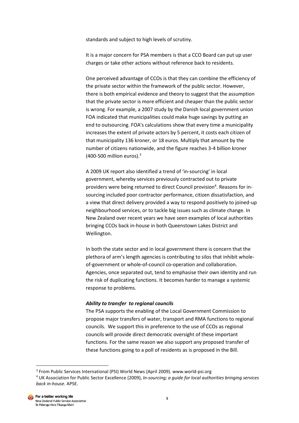standards and subject to high levels of scrutiny.

It is a major concern for PSA members is that a CCO Board can put up user charges or take other actions without reference back to residents.

One perceived advantage of CCOs is that they can combine the efficiency of the private sector within the framework of the public sector. However, there is both empirical evidence and theory to suggest that the assumption that the private sector is more efficient and cheaper than the public sector is wrong. For example, a 2007 study by the Danish local government union FOA indicated that municipalities could make huge savings by putting an end to outsourcing. FOA's calculations show that every time a municipality increases the extent of private actors by 5 percent, it costs each citizen of that municipality 136 kroner, or 18 euros. Multiply that amount by the number of citizens nationwide, and the figure reaches 3-4 billion kroner  $(400-500$  million euros).<sup>3</sup>

A 2009 UK report also identified a trend of 'in-sourcing' in local government, whereby services previously contracted out to private providers were being returned to direct Council provision<sup>4</sup>. Reasons for insourcing included poor contractor performance, citizen dissatisfaction, and a view that direct delivery provided a way to respond positively to joined-up neighbourhood services, or to tackle big issues such as climate change. In New Zealand over recent years we have seen examples of local authorities bringing CCOs back in-house in both Queenstown Lakes District and Wellington.

In both the state sector and in local government there is concern that the plethora of arm's length agencies is contributing to silos that inhibit wholeof-government or whole-of-council co-operation and collaboration. Agencies, once separated out, tend to emphasise their own identity and run the risk of duplicating functions. It becomes harder to manage a systemic response to problems.

#### *Ability to transfer to regional councils*

The PSA supports the enabling of the Local Government Commission to propose major transfers of water, transport and RMA functions to regional councils. We support this in preference to the use of CCOs as regional councils will provide direct democratic oversight of these important functions. For the same reason we also support any proposed transfer of these functions going to a poll of residents as is proposed in the Bill.

**.** 

<sup>&</sup>lt;sup>3</sup> From Public Services International (PSI) World News (April 2009). www.world-psi.org

<sup>4</sup> UK Association for Public Sector Excellence (2009), *In-sourcing; a guide for local authorities bringing services back in-house.* APSE.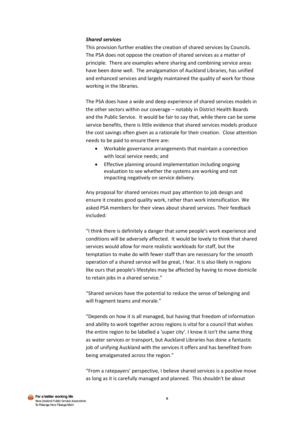# *Shared services*

This provision further enables the creation of shared services by Councils. The PSA does not oppose the creation of shared services as a matter of principle. There are examples where sharing and combining service areas have been done well. The amalgamation of Auckland Libraries, has unified and enhanced services and largely maintained the quality of work for those working in the libraries.

The PSA does have a wide and deep experience of shared services models in the other sectors within our coverage – notably in District Health Boards and the Public Service. It would be fair to say that, while there can be some service benefits, there is little evidence that shared services models produce the cost savings often given as a rationale for their creation. Close attention needs to be paid to ensure there are:

- Workable governance arrangements that maintain a connection with local service needs; and
- Effective planning around implementation including ongoing evaluation to see whether the systems are working and not impacting negatively on service delivery.

Any proposal for shared services must pay attention to job design and ensure it creates good quality work, rather than work intensification. We asked PSA members for their views about shared services. Their feedback included:

"I think there is definitely a danger that some people's work experience and conditions will be adversely affected. It would be lovely to think that shared services would allow for more realistic workloads for staff, but the temptation to make do with fewer staff than are necessary for the smooth operation of a shared service will be great, I fear. It is also likely in regions like ours that people's lifestyles may be affected by having to move domicile to retain jobs in a shared service."

"Shared services have the potential to reduce the sense of belonging and will fragment teams and morale."

"Depends on how it is all managed, but having that freedom of information and ability to work together across regions is vital for a council that wishes the entire region to be labelled a 'super city'. I know it isn't the same thing as water services or transport, but Auckland Libraries has done a fantastic job of unifying Auckland with the services it offers and has benefited from being amalgamated across the region."

"From a ratepayers' perspective, I believe shared services is a positive move as long as it is carefully managed and planned. This shouldn't be about